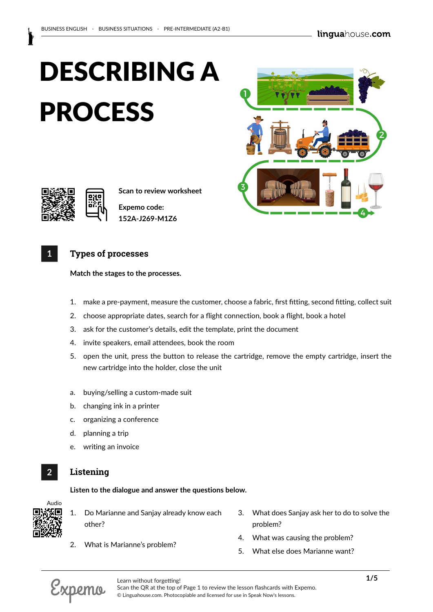



**Scan to review worksheet** 

**Expemo code: 152A-J269-M1Z6**

## **1 Types of processes**

**Match the stages to the processes.**

- 1. make a pre-payment, measure the customer, choose a fabric, first fitting, second fitting, collect suit
- 2. choose appropriate dates, search for a flight connection, book a flight, book a hotel
- 3. ask for the customer's details, edit the template, print the document
- 4. invite speakers, email attendees, book the room
- 5. open the unit, press the button to release the cartridge, remove the empty cartridge, insert the new cartridge into the holder, close the unit
- a. buying/selling a custom-made suit
- b. changing ink in a printer
- c. organizing a conference
- d. planning a trip
- e. writing an invoice

# **2 Listening**

**Listen to the dialogue and answer the questions below.**

Audio

# 1. Do Marianne and Sanjay already know each other?

- 3. What does Sanjay ask her to do to solve the problem?
- 2. What is Marianne's problem?
- 4. What was causing the problem?
- 5. What else does Marianne want?



Scan the QR at the top of Page 1 to review the lesson flashcards with Expemo. © Linguahouse.com. Photocopiable and licensed for use in Speak Now's lessons.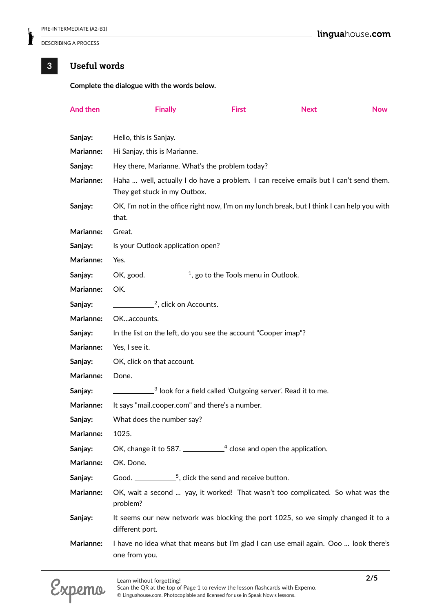## **3 Useful words**

#### **Complete the dialogue with the words below.**

| And then         | <b>Finally</b>                                                                                                        | <b>First</b> | <b>Next</b> | <b>Now</b> |  |
|------------------|-----------------------------------------------------------------------------------------------------------------------|--------------|-------------|------------|--|
| Sanjay:          | Hello, this is Sanjay.                                                                                                |              |             |            |  |
| Marianne:        | Hi Sanjay, this is Marianne.                                                                                          |              |             |            |  |
| Sanjay:          | Hey there, Marianne. What's the problem today?                                                                        |              |             |            |  |
| Marianne:        | Haha  well, actually I do have a problem. I can receive emails but I can't send them.<br>They get stuck in my Outbox. |              |             |            |  |
| Sanjay:          | OK, I'm not in the office right now, I'm on my lunch break, but I think I can help you with<br>that.                  |              |             |            |  |
| Marianne:        | Great.                                                                                                                |              |             |            |  |
| Sanjay:          | Is your Outlook application open?                                                                                     |              |             |            |  |
| Marianne:        | Yes.                                                                                                                  |              |             |            |  |
| Sanjay:          | OK, good. $\frac{1}{2}$ , go to the Tools menu in Outlook.                                                            |              |             |            |  |
| Marianne:        | OK.                                                                                                                   |              |             |            |  |
| Sanjay:          | $\frac{2}{3}$ , click on Accounts.                                                                                    |              |             |            |  |
| Marianne:        | OKaccounts.                                                                                                           |              |             |            |  |
| Sanjay:          | In the list on the left, do you see the account "Cooper imap"?                                                        |              |             |            |  |
| Marianne:        | Yes, I see it.                                                                                                        |              |             |            |  |
| Sanjay:          | OK, click on that account.                                                                                            |              |             |            |  |
| Marianne:        | Done.                                                                                                                 |              |             |            |  |
| Sanjay:          | $\frac{3}{2}$ look for a field called 'Outgoing server'. Read it to me.                                               |              |             |            |  |
| <b>Marianne:</b> | It says "mail.cooper.com" and there's a number.                                                                       |              |             |            |  |
| Sanjay:          | What does the number say?                                                                                             |              |             |            |  |
| Marianne:        | 1025.                                                                                                                 |              |             |            |  |
| Sanjay:          | OK, change it to 587. $\frac{1}{2}$ close and open the application.                                                   |              |             |            |  |
| Marianne:        | OK. Done.                                                                                                             |              |             |            |  |
| Sanjay:          | Good. $\frac{5}{2}$ , click the send and receive button.                                                              |              |             |            |  |
| Marianne:        | OK, wait a second  yay, it worked! That wasn't too complicated. So what was the<br>problem?                           |              |             |            |  |
| Sanjay:          | It seems our new network was blocking the port 1025, so we simply changed it to a<br>different port.                  |              |             |            |  |
| Marianne:        | I have no idea what that means but I'm glad I can use email again. Ooo  look there's<br>one from you.                 |              |             |            |  |

**Following Learn without forgetting! 2/5** Scan the QR at the top of Page 1 to review the lesson flashcards with Expemo. © Linguahouse.com. Photocopiable and licensed for use in Speak Now's lessons.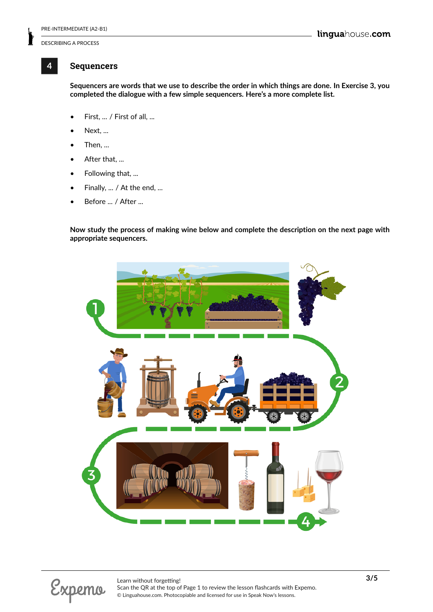# **4 Sequencers**

**Sequencers are words that we use to describe the order in which things are done. In Exercise 3, you completed the dialogue with a few simple sequencers. Here's a more complete list.**

- First, ... / First of all, ...
- Next, ...
- $\bullet$  Then, ...
- After that, ...
- Following that, ...
- Finally, ... / At the end, ...
- Before ... / After ...

**Now study the process of making wine below and complete the description on the next page with appropriate sequencers.**

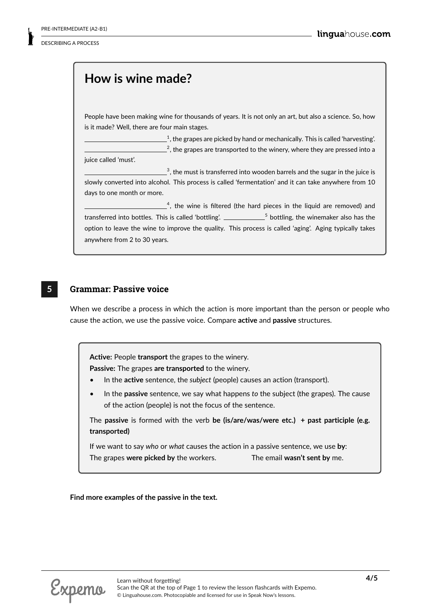# **How is wine made?**

People have been making wine for thousands of years. It is not only an art, but also a science. So, how is it made? Well, there are four main stages.

 $^{\rm 1}$ , the grapes are picked by hand or mechanically. This is called 'harvesting'.  $^2$ , the grapes are transported to the winery, where they are pressed into a

juice called 'must'.

 $^3$ , the must is transferred into wooden barrels and the sugar in the juice is slowly converted into alcohol. This process is called 'fermentation' and it can take anywhere from 10 days to one month or more.

 $4<sup>4</sup>$ , the wine is filtered (the hard pieces in the liquid are removed) and transferred into bottles. This is called 'bottling'. \_\_\_\_\_\_\_\_\_\_\_\_5 bottling, the winemaker also has the option to leave the wine to improve the quality. This process is called 'aging'. Aging typically takes anywhere from 2 to 30 years.

### **5 Grammar: Passive voice**

When we describe a process in which the action is more important than the person or people who cause the action, we use the passive voice. Compare **active** and **passive** structures.

**Active:** People **transport** the grapes to the winery.

**Passive:** The grapes **are transported** to the winery.

- In the **active** sentence, the *subject* (people) causes an action (transport).
- In the **passive** sentence, we say what happens *to* the subject (the grapes). The cause of the action (people) is not the focus of the sentence.

The **passive** is formed with the verb **be (is/are/was/were etc.) + past participle (e.g. transported)**

If we want to say *who* or *what* causes the action in a passive sentence, we use **by**: The grapes **were picked by** the workers. The email **wasn't sent by** me.

**Find more examples of the passive in the text.**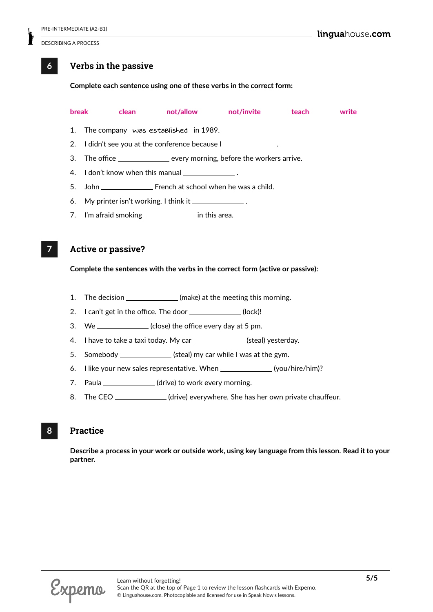### **6 Verbs in the passive**

**Complete each sentence using one of these verbs in the correct form:**

|    |                                                          |  |  | break clean not/allow not/invite                                         | teach and the state of the state of the state of the state of the state of the state of the state o | write |
|----|----------------------------------------------------------|--|--|--------------------------------------------------------------------------|-----------------------------------------------------------------------------------------------------|-------|
|    | 1. The company was established in 1989.                  |  |  |                                                                          |                                                                                                     |       |
|    | 2. I didn't see you at the conference because I          |  |  |                                                                          |                                                                                                     |       |
|    |                                                          |  |  | 3. The office ________________ every morning, before the workers arrive. |                                                                                                     |       |
|    | 4. I don't know when this manual _______________.        |  |  |                                                                          |                                                                                                     |       |
| 5. |                                                          |  |  |                                                                          |                                                                                                     |       |
|    | 6. My printer isn't working. I think it _______________. |  |  |                                                                          |                                                                                                     |       |
|    | 7. I'm afraid smoking _________________ in this area.    |  |  |                                                                          |                                                                                                     |       |

**7 Active or passive?**

**Complete the sentences with the verbs in the correct form (active or passive):**

- 1. The decision \_\_\_\_\_\_\_\_\_\_\_\_\_\_(make) at the meeting this morning.
- 2. I can't get in the office. The door \_\_\_\_\_\_\_\_\_\_\_\_(lock)!
- 3. We \_\_\_\_\_\_\_\_\_\_\_\_(close) the office every day at 5 pm.
- 4. I have to take a taxi today. My car \_\_\_\_\_\_\_\_\_\_\_\_\_\_(steal) yesterday.
- 5. Somebody \_\_\_\_\_\_\_\_\_\_\_\_\_\_(steal) my car while I was at the gym.
- 6. I like your new sales representative. When \_\_\_\_\_\_\_\_\_\_\_\_\_(you/hire/him)?
- 7. Paula \_\_\_\_\_\_\_\_\_\_\_\_\_(drive) to work every morning.
- 8. The CEO \_\_\_\_\_\_\_\_\_\_\_\_(drive) everywhere. She has her own private chauffeur.

## **8 Practice**

**Describe a process in your work or outside work, using key language from this lesson. Read it to your partner.**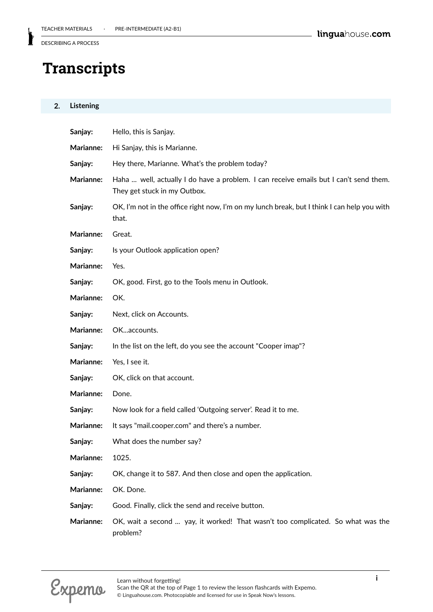# **Transcripts**

#### **2. Listening**

| Sanjay:          | Hello, this is Sanjay.                                                                                                |  |  |
|------------------|-----------------------------------------------------------------------------------------------------------------------|--|--|
| Marianne:        | Hi Sanjay, this is Marianne.                                                                                          |  |  |
| Sanjay:          | Hey there, Marianne. What's the problem today?                                                                        |  |  |
| Marianne:        | Haha  well, actually I do have a problem. I can receive emails but I can't send them.<br>They get stuck in my Outbox. |  |  |
| Sanjay:          | OK, I'm not in the office right now, I'm on my lunch break, but I think I can help you with<br>that.                  |  |  |
| Marianne:        | Great.                                                                                                                |  |  |
| Sanjay:          | Is your Outlook application open?                                                                                     |  |  |
| Marianne:        | Yes.                                                                                                                  |  |  |
| Sanjay:          | OK, good. First, go to the Tools menu in Outlook.                                                                     |  |  |
| Marianne:        | OK.                                                                                                                   |  |  |
| Sanjay:          | Next, click on Accounts.                                                                                              |  |  |
| Marianne:        | OKaccounts.                                                                                                           |  |  |
| Sanjay:          | In the list on the left, do you see the account "Cooper imap"?                                                        |  |  |
| Marianne:        | Yes, I see it.                                                                                                        |  |  |
| Sanjay:          | OK, click on that account.                                                                                            |  |  |
| Marianne:        | Done.                                                                                                                 |  |  |
| Sanjay:          | Now look for a field called 'Outgoing server'. Read it to me.                                                         |  |  |
| <b>Marianne:</b> | It says "mail.cooper.com" and there's a number.                                                                       |  |  |
| Sanjay:          | What does the number say?                                                                                             |  |  |
| Marianne:        | 1025.                                                                                                                 |  |  |
| Sanjay:          | OK, change it to 587. And then close and open the application.                                                        |  |  |
| Marianne:        | OK. Done.                                                                                                             |  |  |
| Sanjay:          | Good. Finally, click the send and receive button.                                                                     |  |  |
| Marianne:        | OK, wait a second  yay, it worked! That wasn't too complicated. So what was the<br>problem?                           |  |  |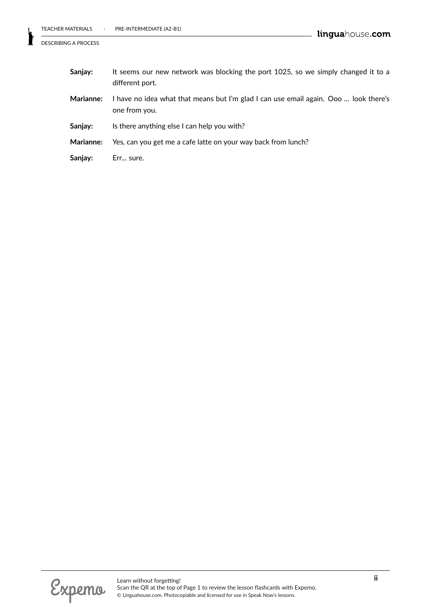| Sanjay:          | It seems our new network was blocking the port 1025, so we simply changed it to a<br>different port.  |  |
|------------------|-------------------------------------------------------------------------------------------------------|--|
| <b>Marianne:</b> | I have no idea what that means but I'm glad I can use email again. Ooo  look there's<br>one from you. |  |
| Sanjay:          | Is there anything else I can help you with?                                                           |  |
| <b>Marianne:</b> | Yes, can you get me a cafe latte on your way back from lunch?                                         |  |
| Sanjay:          | Err sure.                                                                                             |  |